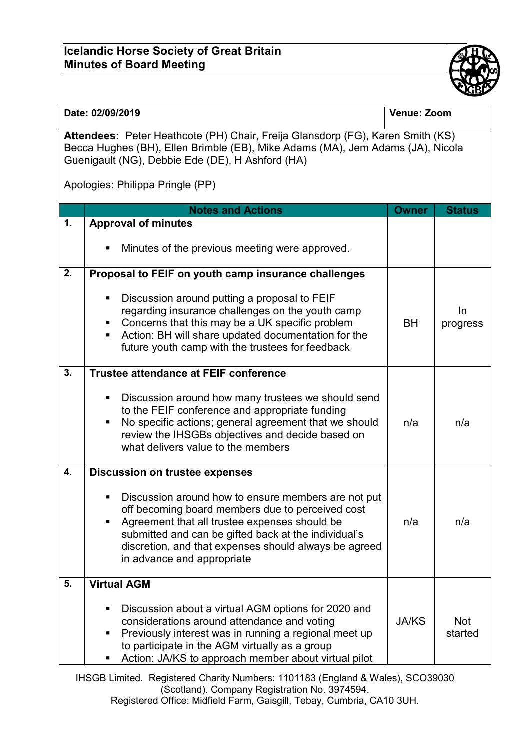## **Icelandic Horse Society of Great Britain Minutes of Board Meeting**



| Date: 02/09/2019                                                                                                                                                                                                     |                                                                                                                                                                                                                                                                                                                                | Venue: Zoom  |                       |  |  |  |
|----------------------------------------------------------------------------------------------------------------------------------------------------------------------------------------------------------------------|--------------------------------------------------------------------------------------------------------------------------------------------------------------------------------------------------------------------------------------------------------------------------------------------------------------------------------|--------------|-----------------------|--|--|--|
| Attendees: Peter Heathcote (PH) Chair, Freija Glansdorp (FG), Karen Smith (KS)<br>Becca Hughes (BH), Ellen Brimble (EB), Mike Adams (MA), Jem Adams (JA), Nicola<br>Guenigault (NG), Debbie Ede (DE), H Ashford (HA) |                                                                                                                                                                                                                                                                                                                                |              |                       |  |  |  |
| Apologies: Philippa Pringle (PP)                                                                                                                                                                                     |                                                                                                                                                                                                                                                                                                                                |              |                       |  |  |  |
|                                                                                                                                                                                                                      | <b>Notes and Actions</b>                                                                                                                                                                                                                                                                                                       | <b>Owner</b> | <b>Status</b>         |  |  |  |
| 1.                                                                                                                                                                                                                   | <b>Approval of minutes</b>                                                                                                                                                                                                                                                                                                     |              |                       |  |  |  |
|                                                                                                                                                                                                                      | Minutes of the previous meeting were approved.<br>п                                                                                                                                                                                                                                                                            |              |                       |  |  |  |
| 2.                                                                                                                                                                                                                   | Proposal to FEIF on youth camp insurance challenges                                                                                                                                                                                                                                                                            |              |                       |  |  |  |
|                                                                                                                                                                                                                      | Discussion around putting a proposal to FEIF<br>٠<br>regarding insurance challenges on the youth camp<br>Concerns that this may be a UK specific problem<br>п<br>Action: BH will share updated documentation for the<br>٠<br>future youth camp with the trustees for feedback                                                  | <b>BH</b>    | In<br>progress        |  |  |  |
| 3.                                                                                                                                                                                                                   | Trustee attendance at FEIF conference                                                                                                                                                                                                                                                                                          |              |                       |  |  |  |
|                                                                                                                                                                                                                      | Discussion around how many trustees we should send<br>ш<br>to the FEIF conference and appropriate funding<br>No specific actions; general agreement that we should<br>٠<br>review the IHSGBs objectives and decide based on<br>what delivers value to the members                                                              | n/a          | n/a                   |  |  |  |
| 4.                                                                                                                                                                                                                   | <b>Discussion on trustee expenses</b>                                                                                                                                                                                                                                                                                          |              |                       |  |  |  |
|                                                                                                                                                                                                                      | Discussion around how to ensure members are not put<br>٠<br>off becoming board members due to perceived cost<br>Agreement that all trustee expenses should be<br>$\blacksquare$<br>submitted and can be gifted back at the individual's<br>discretion, and that expenses should always be agreed<br>in advance and appropriate | n/a          | n/a                   |  |  |  |
| 5.                                                                                                                                                                                                                   | <b>Virtual AGM</b>                                                                                                                                                                                                                                                                                                             |              |                       |  |  |  |
|                                                                                                                                                                                                                      | Discussion about a virtual AGM options for 2020 and<br>٠<br>considerations around attendance and voting<br>Previously interest was in running a regional meet up<br>٠<br>to participate in the AGM virtually as a group<br>Action: JA/KS to approach member about virtual pilot<br>٠                                           | <b>JA/KS</b> | <b>Not</b><br>started |  |  |  |

IHSGB Limited. Registered Charity Numbers: 1101183 (England & Wales), SCO39030 (Scotland). Company Registration No. 3974594.

Registered Office: Midfield Farm, Gaisgill, Tebay, Cumbria, CA10 3UH.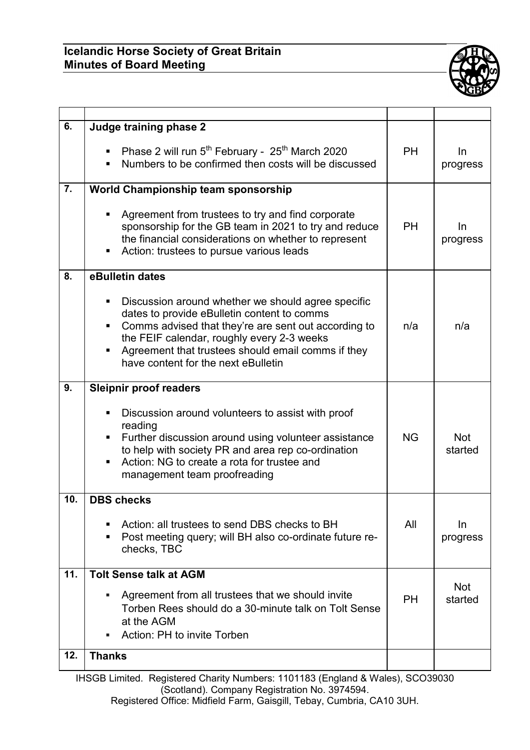## **Icelandic Horse Society of Great Britain Minutes of Board Meeting**



| 6.               | Judge training phase 2                                                                                                                                                                                                                                                                                              |           |                       |
|------------------|---------------------------------------------------------------------------------------------------------------------------------------------------------------------------------------------------------------------------------------------------------------------------------------------------------------------|-----------|-----------------------|
|                  | Phase 2 will run 5 <sup>th</sup> February - 25 <sup>th</sup> March 2020<br>Numbers to be confirmed then costs will be discussed                                                                                                                                                                                     | <b>PH</b> | In.<br>progress       |
| $\overline{7}$ . | World Championship team sponsorship                                                                                                                                                                                                                                                                                 |           |                       |
|                  | Agreement from trustees to try and find corporate<br>sponsorship for the GB team in 2021 to try and reduce<br>the financial considerations on whether to represent<br>Action: trustees to pursue various leads<br>П                                                                                                 | <b>PH</b> | In<br>progress        |
| 8.               | eBulletin dates                                                                                                                                                                                                                                                                                                     |           |                       |
|                  | Discussion around whether we should agree specific<br>٠<br>dates to provide eBulletin content to comms<br>Comms advised that they're are sent out according to<br>٠<br>the FEIF calendar, roughly every 2-3 weeks<br>Agreement that trustees should email comms if they<br>Π<br>have content for the next eBulletin | n/a       | n/a                   |
| 9.               | <b>Sleipnir proof readers</b>                                                                                                                                                                                                                                                                                       |           |                       |
|                  | Discussion around volunteers to assist with proof<br>reading<br>Further discussion around using volunteer assistance<br>٠<br>to help with society PR and area rep co-ordination<br>Action: NG to create a rota for trustee and<br>٠<br>management team proofreading                                                 | <b>NG</b> | <b>Not</b><br>started |
| 10.              | <b>DBS checks</b>                                                                                                                                                                                                                                                                                                   |           |                       |
|                  | Action: all trustees to send DBS checks to BH<br>Post meeting query; will BH also co-ordinate future re-<br>п<br>checks, TBC                                                                                                                                                                                        | All       | <u>In</u><br>progress |
| 11.              | <b>Tolt Sense talk at AGM</b>                                                                                                                                                                                                                                                                                       |           |                       |
|                  | Agreement from all trustees that we should invite<br>Torben Rees should do a 30-minute talk on Tolt Sense<br>at the AGM<br>Action: PH to invite Torben                                                                                                                                                              | <b>PH</b> | <b>Not</b><br>started |
| 12.              | <b>Thanks</b>                                                                                                                                                                                                                                                                                                       |           |                       |

IHSGB Limited. Registered Charity Numbers: 1101183 (England & Wales), SCO39030 (Scotland). Company Registration No. 3974594.

Registered Office: Midfield Farm, Gaisgill, Tebay, Cumbria, CA10 3UH.